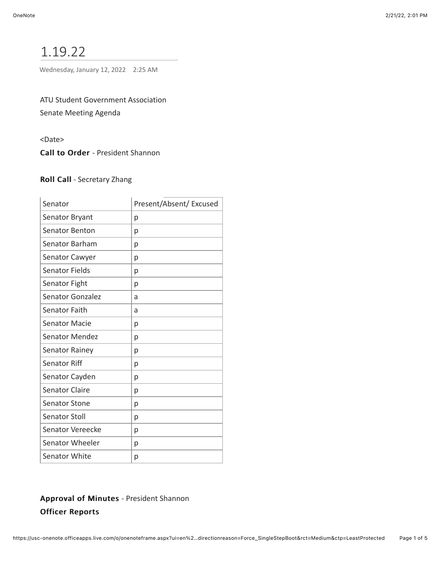# 1.19.22

Wednesday, January 12, 2022 2:25 AM

ATU Student Government Association Senate Meeting Agenda

<Date>

Call to Order - President Shannon

## Roll Call - Secretary Zhang

| Senator                 | Present/Absent/ Excused |
|-------------------------|-------------------------|
| Senator Bryant          | p                       |
| <b>Senator Benton</b>   | р                       |
| Senator Barham          | р                       |
| <b>Senator Cawyer</b>   | р                       |
| Senator Fields          | р                       |
| Senator Fight           | р                       |
| <b>Senator Gonzalez</b> | a                       |
| Senator Faith           | a                       |
| <b>Senator Macie</b>    | р                       |
| <b>Senator Mendez</b>   | р                       |
| <b>Senator Rainey</b>   | р                       |
| <b>Senator Riff</b>     | р                       |
| Senator Cayden          | р                       |
| <b>Senator Claire</b>   | р                       |
| <b>Senator Stone</b>    | р                       |
| Senator Stoll           | р                       |
| Senator Vereecke        | р                       |
| Senator Wheeler         | р                       |
| <b>Senator White</b>    | р                       |

# Approval of Minutes - President Shannon **Officer Reports**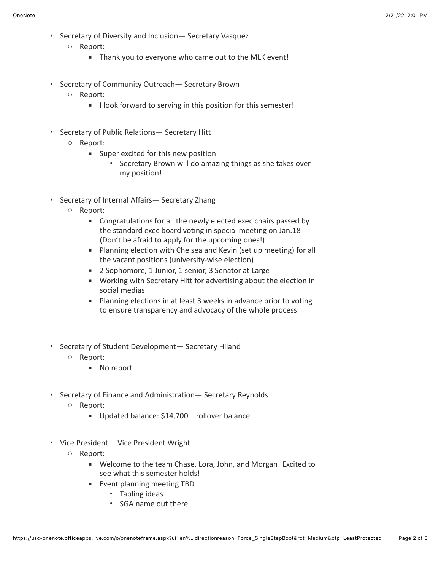- Secretary of Diversity and Inclusion— Secretary Vasquez
	- Report:
		- Thank you to everyone who came out to the MLK event!
- Secretary of Community Outreach— Secretary Brown
	- Report:
		- **.** I look forward to serving in this position for this semester!
- Secretary of Public Relations— Secretary Hitt
	- Report:
		- Super excited for this new position
			- Secretary Brown will do amazing things as she takes over my position!
- Secretary of Internal Affairs— Secretary Zhang
	- Report:
		- Congratulations for all the newly elected exec chairs passed by the standard exec board voting in special meeting on Jan.18 (Don't be afraid to apply for the upcoming ones!)
		- **EXECT** Planning election with Chelsea and Kevin (set up meeting) for all the vacant positions (university-wise election)
		- 2 Sophomore, 1 Junior, 1 senior, 3 Senator at Large
		- Working with Secretary Hitt for advertising about the election in social medias
		- **EXECT** Planning elections in at least 3 weeks in advance prior to voting to ensure transparency and advocacy of the whole process
- Secretary of Student Development— Secretary Hiland
	- Report:
		- No report
- Secretary of Finance and Administration— Secretary Reynolds
	- Report:
		- Updated balance: \$14,700 + rollover balance
- Vice President— Vice President Wright
	- Report:
		- Welcome to the team Chase, Lora, John, and Morgan! Excited to see what this semester holds!
		- **Event planning meeting TBD** 
			- Tabling ideas
			- SGA name out there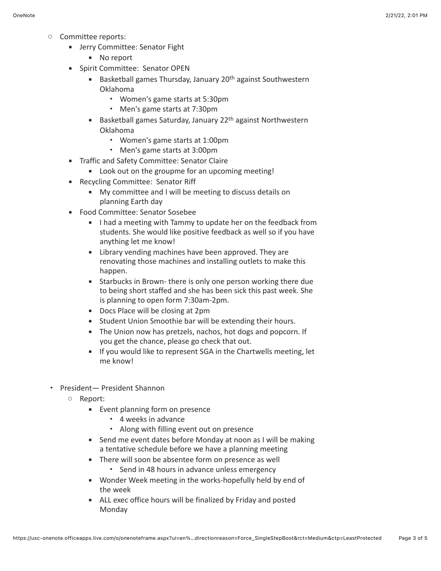- Committee reports:
	- **EXECOMMITTEE: Senator Fight** 
		- No report
	- **·** Spirit Committee: Senator OPEN
		- Basketball games Thursday, January 20<sup>th</sup> against Southwestern Oklahoma
			- Women's game starts at 5:30pm
			- Men's game starts at 7:30pm
		- Basketball games Saturday, January 22<sup>th</sup> against Northwestern Oklahoma
			- Women's game starts at 1:00pm
			- Men's game starts at 3:00pm
	- **EXEC** Traffic and Safety Committee: Senator Claire
		- Look out on the groupme for an upcoming meeting!
	- Recycling Committee: Senator Riff
		- My committee and I will be meeting to discuss details on planning Earth day
	- Food Committee: Senator Sosebee
		- **I** I had a meeting with Tammy to update her on the feedback from students. She would like positive feedback as well so if you have anything let me know!
		- **EXECT:** Library vending machines have been approved. They are renovating those machines and installing outlets to make this happen.
		- **EXECT** Starbucks in Brown-there is only one person working there due to being short staffed and she has been sick this past week. She is planning to open form 7:30am-2pm.
		- Docs Place will be closing at 2pm
		- **EXECT:** Student Union Smoothie bar will be extending their hours.
		- **EXECT** The Union now has pretzels, nachos, hot dogs and popcorn. If you get the chance, please go check that out.
		- **EXECUTE:** If you would like to represent SGA in the Chartwells meeting, let me know!
- President— President Shannon
	- Report:
		- Event planning form on presence
			- 4 weeks in advance
			- Along with filling event out on presence
		- Send me event dates before Monday at noon as I will be making a tentative schedule before we have a planning meeting
		- **EXECT** There will soon be absentee form on presence as well
			- Send in 48 hours in advance unless emergency
		- Wonder Week meeting in the works-hopefully held by end of the week
		- ALL exec office hours will be finalized by Friday and posted Monday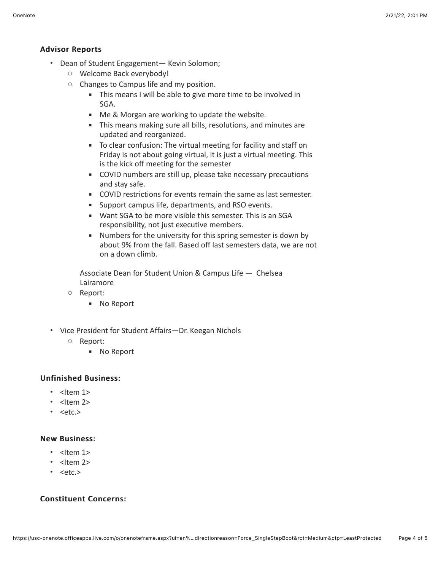## Advisor Reports Advisor Reports

- Dean of Student Engagement— Kevin Solomon;
	- Welcome Back everybody!
	- Changes to Campus life and my position.
		- **.** This means I will be able to give more time to be involved in SGA.
		- Me & Morgan are working to update the website.
		- **EXECT** This means making sure all bills, resolutions, and minutes are updated and reorganized.
		- To clear confusion: The virtual meeting for facility and staff on Friday is not about going virtual, it is just a virtual meeting. This is the kick off meeting for the semester
		- COVID numbers are still up, please take necessary precautions and stay safe.
		- **EXECOVID restrictions for events remain the same as last semester.**
		- Support campus life, departments, and RSO events.
		- Want SGA to be more visible this semester. This is an SGA responsibility, not just executive members.
		- Numbers for the university for this spring semester is down by about 9% from the fall. Based off last semesters data, we are not on a down climb.

Associate Dean for Student Union & Campus Life — Chelsea Lairamore

- Report:
	- No Report
- Vice President for Student Affairs—Dr. Keegan Nichols
	- Report:
		- No Report

# **Unfinished Business:**

- $\cdot$  <Item 1>
- $\cdot$  <Item 2>
- $\cdot$  <etc.>

#### **New Business:**

- <ltem 1>
- $\cdot$  <Item 2>
- <etc.>

# Constituent Concerns: Constituent Concerns: